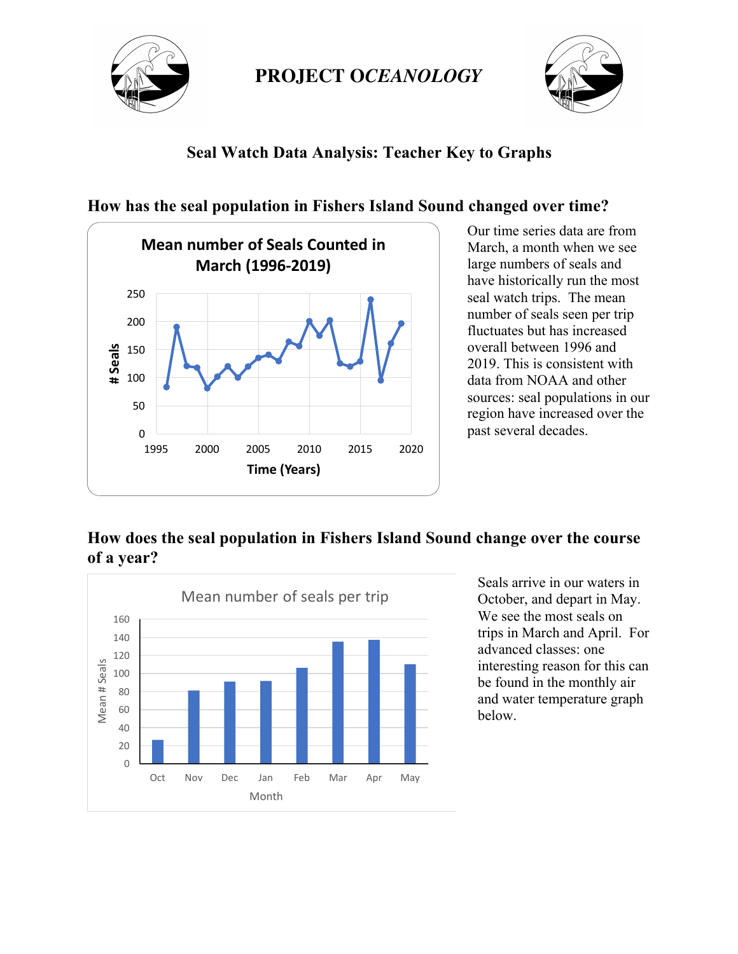



## **Seal Watch Data Analysis: Teacher Key to Graphs**



**How has the seal population in Fishers Island Sound changed over time?** 

Our time series data are from March, a month when we see large numbers of seals and have historically run the most seal watch trips. The mean number of seals seen per trip fluctuates but has increased overall between 1996 and 2019. This is consistent with data from NOAA and other sources: seal populations in our region have increased over the past several decades.

## **How does the seal population in Fishers Island Sound change over the course of a year?**



Seals arrive in our waters in October, and depart in May. We see the most seals on trips in March and April. For advanced classes: one interesting reason for this can be found in the monthly air and water temperature graph below.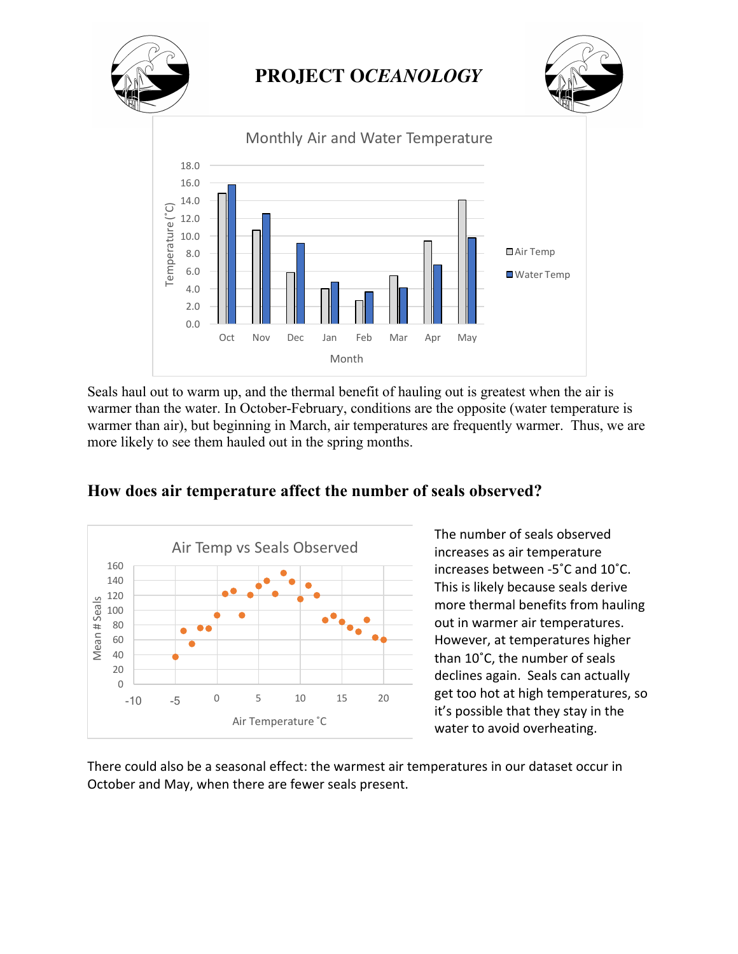

Seals haul out to warm up, and the thermal benefit of hauling out is greatest when the air is warmer than the water. In October-February, conditions are the opposite (water temperature is warmer than air), but beginning in March, air temperatures are frequently warmer. Thus, we are more likely to see them hauled out in the spring months.



#### **How does air temperature affect the number of seals observed?**

The number of seals observed increases as air temperature increases between -5°C and 10°C. This is likely because seals derive more thermal benefits from hauling out in warmer air temperatures. However, at temperatures higher than 10°C, the number of seals declines again. Seals can actually get too hot at high temperatures, so it's possible that they stay in the water to avoid overheating.

There could also be a seasonal effect: the warmest air temperatures in our dataset occur in October and May, when there are fewer seals present.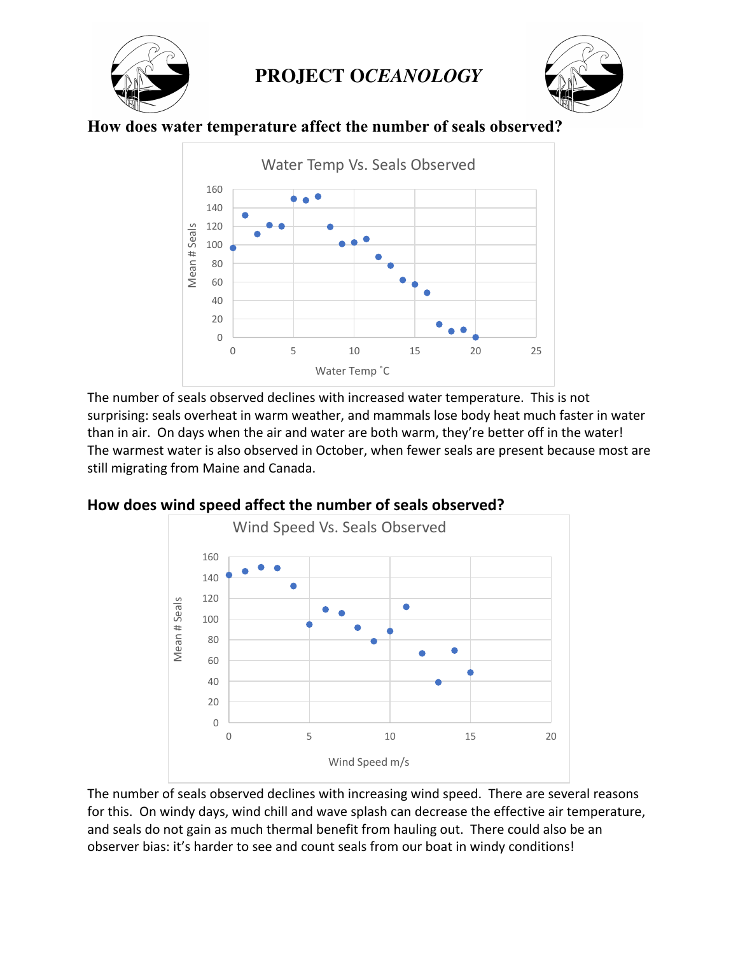



### **How does water temperature affect the number of seals observed?**



The number of seals observed declines with increased water temperature. This is not surprising: seals overheat in warm weather, and mammals lose body heat much faster in water than in air. On days when the air and water are both warm, they're better off in the water! The warmest water is also observed in October, when fewer seals are present because most are still migrating from Maine and Canada.



#### How does wind speed affect the number of seals observed?

The number of seals observed declines with increasing wind speed. There are several reasons for this. On windy days, wind chill and wave splash can decrease the effective air temperature, and seals do not gain as much thermal benefit from hauling out. There could also be an observer bias: it's harder to see and count seals from our boat in windy conditions!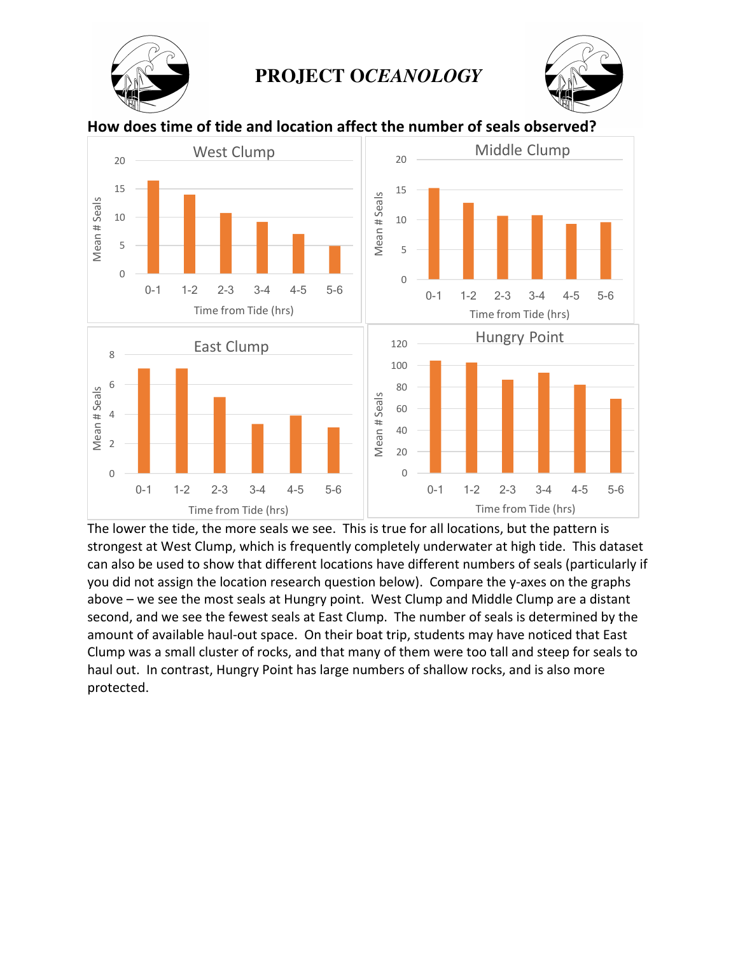



How does time of tide and location affect the number of seals observed?



The lower the tide, the more seals we see. This is true for all locations, but the pattern is strongest at West Clump, which is frequently completely underwater at high tide. This dataset can also be used to show that different locations have different numbers of seals (particularly if you did not assign the location research question below). Compare the y-axes on the graphs above – we see the most seals at Hungry point. West Clump and Middle Clump are a distant second, and we see the fewest seals at East Clump. The number of seals is determined by the amount of available haul-out space. On their boat trip, students may have noticed that East Clump was a small cluster of rocks, and that many of them were too tall and steep for seals to haul out. In contrast, Hungry Point has large numbers of shallow rocks, and is also more protected.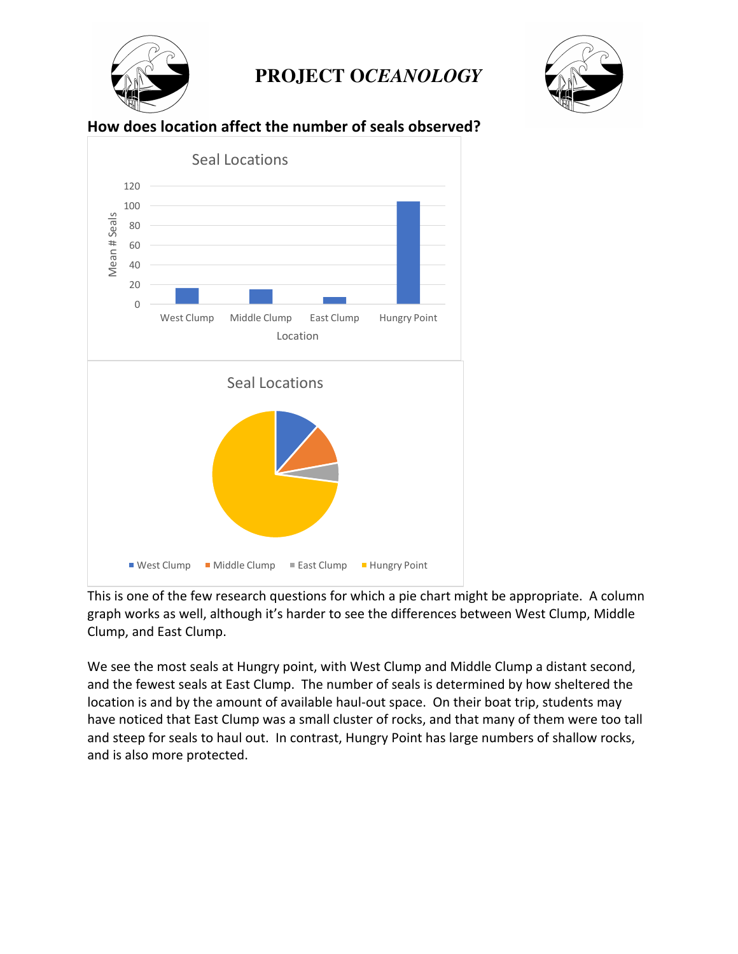



#### **How does location affect the number of seals observed?**



This is one of the few research questions for which a pie chart might be appropriate. A column graph works as well, although it's harder to see the differences between West Clump, Middle Clump, and East Clump.

We see the most seals at Hungry point, with West Clump and Middle Clump a distant second, and the fewest seals at East Clump. The number of seals is determined by how sheltered the location is and by the amount of available haul-out space. On their boat trip, students may have noticed that East Clump was a small cluster of rocks, and that many of them were too tall and steep for seals to haul out. In contrast, Hungry Point has large numbers of shallow rocks, and is also more protected.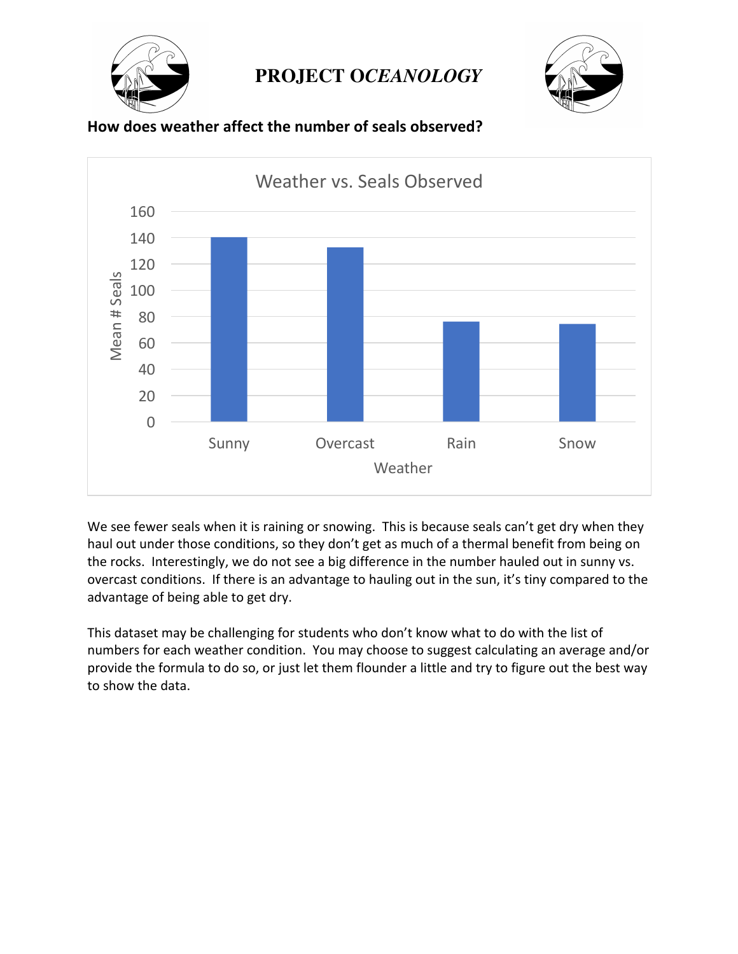





How does weather affect the number of seals observed?

We see fewer seals when it is raining or snowing. This is because seals can't get dry when they haul out under those conditions, so they don't get as much of a thermal benefit from being on the rocks. Interestingly, we do not see a big difference in the number hauled out in sunny vs. overcast conditions. If there is an advantage to hauling out in the sun, it's tiny compared to the advantage of being able to get dry.

This dataset may be challenging for students who don't know what to do with the list of numbers for each weather condition. You may choose to suggest calculating an average and/or provide the formula to do so, or just let them flounder a little and try to figure out the best way to show the data.